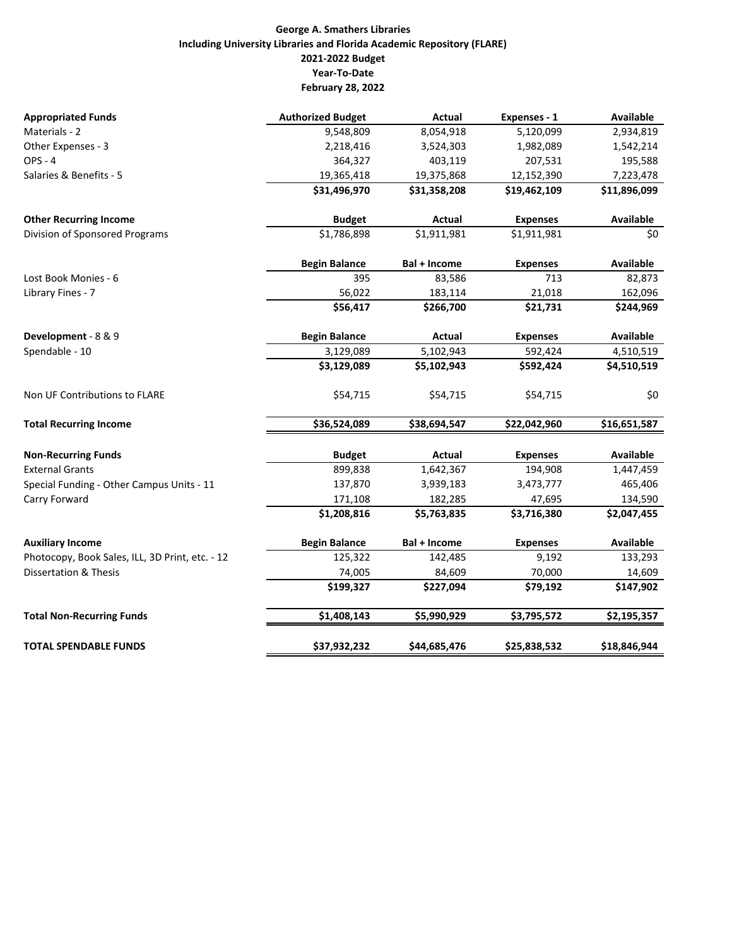### **George A. Smathers Libraries Including University Libraries and Florida Academic Repository (FLARE) 2021‐2022 Budget Year‐To‐Date February 28, 2022**

| <b>Appropriated Funds</b>                       | <b>Authorized Budget</b> | Actual              | Expenses - 1    | Available        |
|-------------------------------------------------|--------------------------|---------------------|-----------------|------------------|
| Materials - 2                                   | 9,548,809                | 8,054,918           | 5,120,099       | 2,934,819        |
| Other Expenses - 3                              | 2,218,416                | 3,524,303           | 1,982,089       | 1,542,214        |
| <b>OPS - 4</b>                                  | 364,327                  | 403,119             | 207,531         | 195,588          |
| Salaries & Benefits - 5                         | 19,365,418               | 19,375,868          | 12,152,390      | 7,223,478        |
|                                                 | \$31,496,970             | \$31,358,208        | \$19,462,109    | \$11,896,099     |
| <b>Other Recurring Income</b>                   | <b>Budget</b>            | Actual              | <b>Expenses</b> | <b>Available</b> |
| Division of Sponsored Programs                  | \$1,786,898              | \$1,911,981         | \$1,911,981     | \$0              |
|                                                 | <b>Begin Balance</b>     | <b>Bal + Income</b> | <b>Expenses</b> | Available        |
| Lost Book Monies - 6                            | 395                      | 83,586              | 713             | 82,873           |
| Library Fines - 7                               | 56,022                   | 183,114             | 21,018          | 162,096          |
|                                                 | \$56,417                 | \$266,700           | \$21,731        | \$244,969        |
| Development - 8 & 9                             | <b>Begin Balance</b>     | Actual              | <b>Expenses</b> | <b>Available</b> |
| Spendable - 10                                  | 3,129,089                | 5,102,943           | 592,424         | 4,510,519        |
|                                                 | \$3,129,089              | \$5,102,943         | \$592,424       | \$4,510,519      |
| Non UF Contributions to FLARE                   | \$54,715                 | \$54,715            | \$54,715        | \$0              |
| <b>Total Recurring Income</b>                   | \$36,524,089             | \$38,694,547        | \$22,042,960    | \$16,651,587     |
| <b>Non-Recurring Funds</b>                      | <b>Budget</b>            | Actual              | <b>Expenses</b> | <b>Available</b> |
| <b>External Grants</b>                          | 899,838                  | 1,642,367           | 194,908         | 1,447,459        |
| Special Funding - Other Campus Units - 11       | 137,870                  | 3,939,183           | 3,473,777       | 465,406          |
| Carry Forward                                   | 171,108                  | 182,285             | 47,695          | 134,590          |
|                                                 | \$1,208,816              | \$5,763,835         | \$3,716,380     | \$2,047,455      |
| <b>Auxiliary Income</b>                         | <b>Begin Balance</b>     | <b>Bal + Income</b> | <b>Expenses</b> | <b>Available</b> |
| Photocopy, Book Sales, ILL, 3D Print, etc. - 12 | 125,322                  | 142,485             | 9,192           | 133,293          |
| <b>Dissertation &amp; Thesis</b>                | 74,005                   | 84,609              | 70,000          | 14,609           |
|                                                 | \$199,327                | \$227,094           | \$79,192        | \$147,902        |
| <b>Total Non-Recurring Funds</b>                | \$1,408,143              | \$5,990,929         | \$3,795,572     | \$2,195,357      |
| <b>TOTAL SPENDABLE FUNDS</b>                    | \$37,932,232             | \$44,685,476        | \$25,838,532    | \$18,846,944     |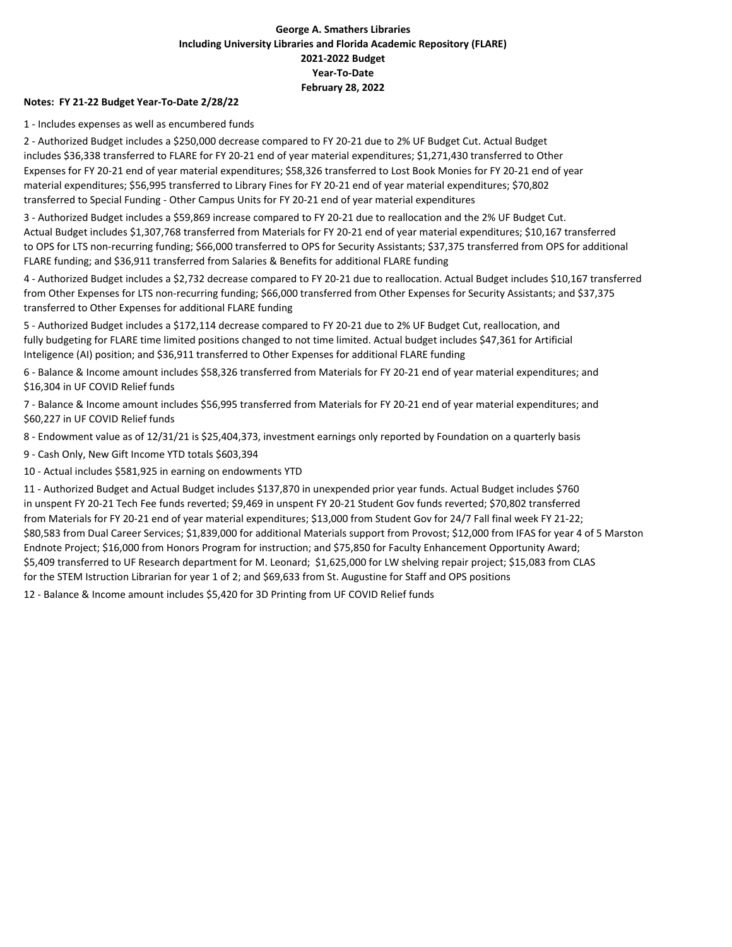### **George A. Smathers Libraries Including University Libraries and Florida Academic Repository (FLARE) 2021‐2022 Budget Year‐To‐Date February 28, 2022**

#### **Notes: FY 21‐22 Budget Year‐To‐Date 2/28/22**

1 ‐ Includes expenses as well as encumbered funds

2 ‐ Authorized Budget includes a \$250,000 decrease compared to FY 20‐21 due to 2% UF Budget Cut. Actual Budget includes \$36,338 transferred to FLARE for FY 20‐21 end of year material expenditures; \$1,271,430 transferred to Other Expenses for FY 20‐21 end of year material expenditures; \$58,326 transferred to Lost Book Monies for FY 20‐21 end of year material expenditures; \$56,995 transferred to Library Fines for FY 20‐21 end of year material expenditures; \$70,802 transferred to Special Funding ‐ Other Campus Units for FY 20‐21 end of year material expenditures

3 ‐ Authorized Budget includes a \$59,869 increase compared to FY 20‐21 due to reallocation and the 2% UF Budget Cut. Actual Budget includes \$1,307,768 transferred from Materials for FY 20‐21 end of year material expenditures; \$10,167 transferred to OPS for LTS non‐recurring funding; \$66,000 transferred to OPS for Security Assistants; \$37,375 transferred from OPS for additional FLARE funding; and \$36,911 transferred from Salaries & Benefits for additional FLARE funding

4 ‐ Authorized Budget includes a \$2,732 decrease compared to FY 20‐21 due to reallocation. Actual Budget includes \$10,167 transferred from Other Expenses for LTS non-recurring funding; \$66,000 transferred from Other Expenses for Security Assistants; and \$37,375 transferred to Other Expenses for additional FLARE funding

5 - Authorized Budget includes a \$172,114 decrease compared to FY 20-21 due to 2% UF Budget Cut, reallocation, and fully budgeting for FLARE time limited positions changed to not time limited. Actual budget includes \$47,361 for Artificial Inteligence (AI) position; and \$36,911 transferred to Other Expenses for additional FLARE funding

6 ‐ Balance & Income amount includes \$58,326 transferred from Materials for FY 20‐21 end of year material expenditures; and \$16,304 in UF COVID Relief funds

7 ‐ Balance & Income amount includes \$56,995 transferred from Materials for FY 20‐21 end of year material expenditures; and \$60,227 in UF COVID Relief funds

8 ‐ Endowment value as of 12/31/21 is \$25,404,373, investment earnings only reported by Foundation on a quarterly basis

9 ‐ Cash Only, New Gift Income YTD totals \$603,394

10 ‐ Actual includes \$581,925 in earning on endowments YTD

11 ‐ Authorized Budget and Actual Budget includes \$137,870 in unexpended prior year funds. Actual Budget includes \$760 in unspent FY 20‐21 Tech Fee funds reverted; \$9,469 in unspent FY 20‐21 Student Gov funds reverted; \$70,802 transferred from Materials for FY 20‐21 end of year material expenditures; \$13,000 from Student Gov for 24/7 Fall final week FY 21‐22; \$80,583 from Dual Career Services; \$1,839,000 for additional Materials support from Provost; \$12,000 from IFAS for year 4 of 5 Marston Endnote Project; \$16,000 from Honors Program for instruction; and \$75,850 for Faculty Enhancement Opportunity Award; \$5,409 transferred to UF Research department for M. Leonard; \$1,625,000 for LW shelving repair project; \$15,083 from CLAS for the STEM Istruction Librarian for year 1 of 2; and \$69,633 from St. Augustine for Staff and OPS positions

12 - Balance & Income amount includes \$5,420 for 3D Printing from UF COVID Relief funds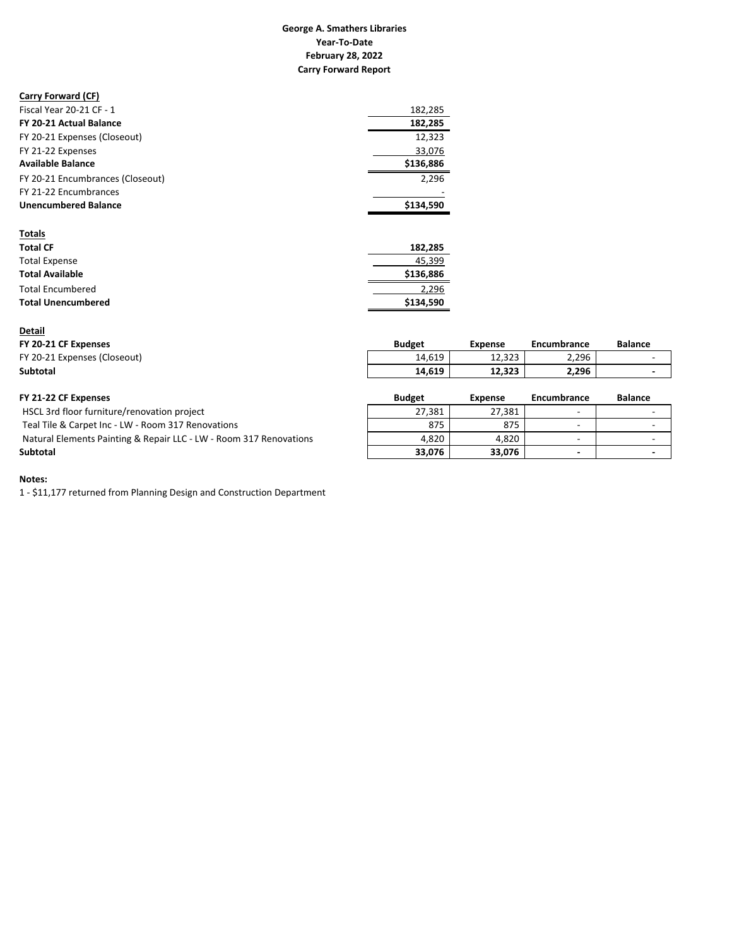#### **Carry Forward Report Year‐To‐Date February 28, 2022 George A. Smathers Libraries**

#### **Carry Forward (CF)**

| Fiscal Year 20-21 CF - 1         | 182.285   |
|----------------------------------|-----------|
| FY 20-21 Actual Balance          | 182.285   |
| FY 20-21 Expenses (Closeout)     | 12.323    |
| FY 21-22 Expenses                | 33,076    |
| <b>Available Balance</b>         | \$136,886 |
| FY 20-21 Encumbrances (Closeout) | 2.296     |
| FY 21-22 Encumbrances            |           |
| <b>Unencumbered Balance</b>      | \$134.590 |
|                                  |           |

| <b>Totals</b>             |           |
|---------------------------|-----------|
| <b>Total CF</b>           | 182,285   |
| <b>Total Expense</b>      | 45,399    |
| <b>Total Available</b>    | \$136,886 |
| <b>Total Encumbered</b>   | 2.296     |
| <b>Total Unencumbered</b> | \$134.590 |

#### **Detail**

### **FY 20‐21 CF Expenses Budget Expense Encumbrance Balance** FY 20‐21 Expenses (Closeout) 14,619 12,323 ‐ 2,296 **Subtotal 14,619 12,323 ‐ 2,296**

| FY 21-22 CF Expenses                                               | <b>Budget</b> | Expense | Encumbrance              | <b>Balance</b> |
|--------------------------------------------------------------------|---------------|---------|--------------------------|----------------|
| HSCL 3rd floor furniture/renovation project                        | 27.381        | 27,381  | $\overline{\phantom{0}}$ |                |
| Teal Tile & Carpet Inc - LW - Room 317 Renovations                 | 875           | 875     | $\overline{\phantom{a}}$ |                |
| Natural Elements Painting & Repair LLC - LW - Room 317 Renovations | 4.820         | 4.820   | $\sim$                   |                |
| Subtotal                                                           | 33.076        | 33.076  | $\overline{\phantom{0}}$ |                |

#### **Notes:**

1 ‐ \$11,177 returned from Planning Design and Construction Department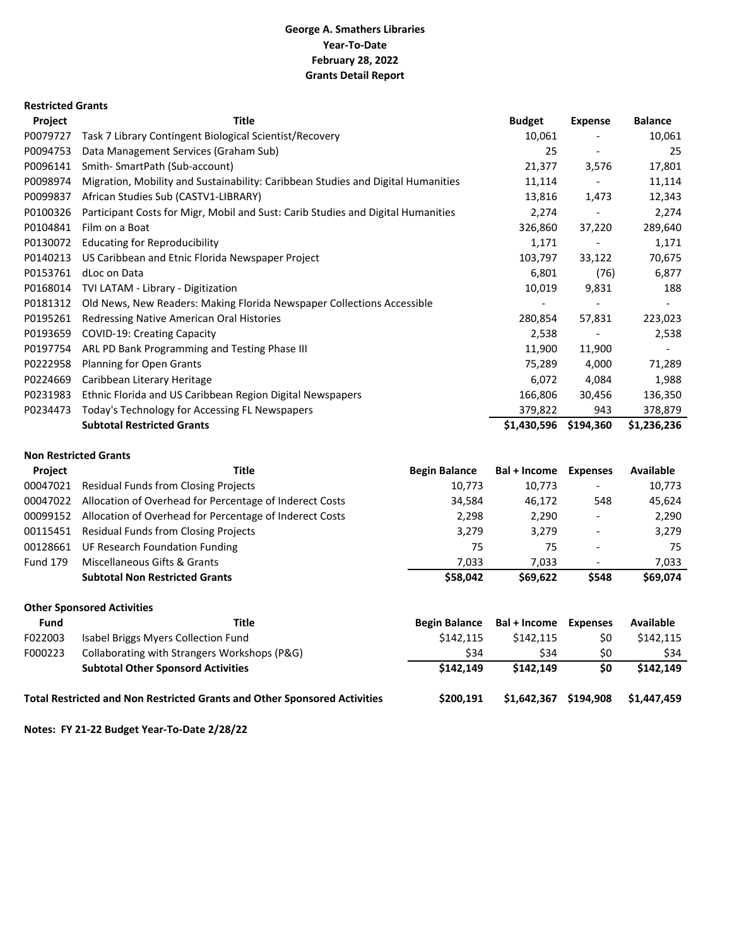# **George A. Smathers Libraries Grants Detail Report Year‐To‐Date February 28, 2022**

### **Restricted Grants**

| Project  | <b>Title</b>                                                                     |                      | <b>Budget</b> | <b>Expense</b>           | <b>Balance</b> |
|----------|----------------------------------------------------------------------------------|----------------------|---------------|--------------------------|----------------|
| P0079727 | Task 7 Library Contingent Biological Scientist/Recovery                          |                      | 10,061        |                          | 10,061         |
| P0094753 | Data Management Services (Graham Sub)                                            |                      | 25            | $\overline{\phantom{a}}$ | 25             |
| P0096141 | Smith- SmartPath (Sub-account)                                                   |                      | 21,377        | 3,576                    | 17,801         |
| P0098974 | Migration, Mobility and Sustainability: Caribbean Studies and Digital Humanities |                      | 11,114        |                          | 11,114         |
| P0099837 | African Studies Sub (CASTV1-LIBRARY)                                             |                      | 13,816        | 1,473                    | 12,343         |
| P0100326 | Participant Costs for Migr, Mobil and Sust: Carib Studies and Digital Humanities |                      | 2,274         |                          | 2,274          |
| P0104841 | Film on a Boat                                                                   |                      | 326,860       | 37,220                   | 289,640        |
| P0130072 | <b>Educating for Reproducibility</b>                                             |                      | 1,171         |                          | 1,171          |
| P0140213 | US Caribbean and Etnic Florida Newspaper Project                                 |                      | 103,797       | 33,122                   | 70,675         |
| P0153761 | dLoc on Data                                                                     |                      | 6,801         | (76)                     | 6,877          |
| P0168014 | TVI LATAM - Library - Digitization                                               |                      | 10,019        | 9,831                    | 188            |
| P0181312 | Old News, New Readers: Making Florida Newspaper Collections Accessible           |                      |               |                          |                |
| P0195261 | Redressing Native American Oral Histories                                        |                      | 280,854       | 57,831                   | 223,023        |
| P0193659 | <b>COVID-19: Creating Capacity</b>                                               |                      | 2,538         |                          | 2,538          |
| P0197754 | ARL PD Bank Programming and Testing Phase III                                    |                      | 11,900        | 11,900                   |                |
| P0222958 | <b>Planning for Open Grants</b>                                                  |                      | 75,289        | 4,000                    | 71,289         |
| P0224669 | Caribbean Literary Heritage                                                      |                      | 6,072         | 4,084                    | 1,988          |
| P0231983 | Ethnic Florida and US Caribbean Region Digital Newspapers                        |                      | 166,806       | 30,456                   | 136,350        |
| P0234473 | Today's Technology for Accessing FL Newspapers                                   |                      | 379,822       | 943                      | 378,879        |
|          | <b>Subtotal Restricted Grants</b>                                                |                      | \$1,430,596   | \$194,360                | \$1,236,236    |
|          | <b>Non Restricted Grants</b>                                                     |                      |               |                          |                |
| Project  | <b>Title</b>                                                                     | <b>Begin Balance</b> | Bal + Income  | <b>Expenses</b>          | Available      |
| 00047021 | <b>Residual Funds from Closing Projects</b>                                      | 10,773               | 10,773        |                          | 10,773         |
|          | 00047022 Allensing of Ourchard fra Deventers of Indianast Crate                  | 21.501               | $AC$ $172$    | <b>FAQ</b>               | 1000           |

|                 | <b>Subtotal Non Restricted Grants</b>                   | \$58.042 | \$69.622 | \$548                    | \$69.074 |
|-----------------|---------------------------------------------------------|----------|----------|--------------------------|----------|
| <b>Fund 179</b> | Miscellaneous Gifts & Grants                            | 7.033    | 7.033    | $\overline{\phantom{0}}$ | 7.033    |
|                 | 00128661 UF Research Foundation Funding                 | 75       | 75       | $\qquad \qquad$          | 75       |
|                 | 00115451 Residual Funds from Closing Projects           | 3.279    | 3.279    | $\overline{\phantom{a}}$ | 3,279    |
| 00099152        | Allocation of Overhead for Percentage of Inderect Costs | 2.298    | 2.290    | $\overline{\phantom{a}}$ | 2,290    |
| 00047022        | Allocation of Overhead for Percentage of Inderect Costs | 34.584   | 46.172   | 548                      | 45,624   |

**Other Sponsored Activities**

| <b>Fund</b> | Title                                                                            | <b>Begin Balance</b> | Bal + Income | <b>Expenses</b> | <b>Available</b> |
|-------------|----------------------------------------------------------------------------------|----------------------|--------------|-----------------|------------------|
| F022003     | Isabel Briggs Myers Collection Fund                                              | \$142.115            | \$142.115    | \$0             | \$142.115        |
| F000223     | Collaborating with Strangers Workshops (P&G)                                     | \$34                 | \$34         | \$0             | \$34             |
|             | <b>Subtotal Other Sponsord Activities</b>                                        | \$142.149            | \$142.149    | \$0             | \$142.149        |
|             | <b>Total Restricted and Non Restricted Grants and Other Sponsored Activities</b> | \$200.191            | \$1,642,367  | \$194,908       | \$1,447,459      |

**Notes: FY 21‐22 Budget Year‐To‐Date 2/28/22**